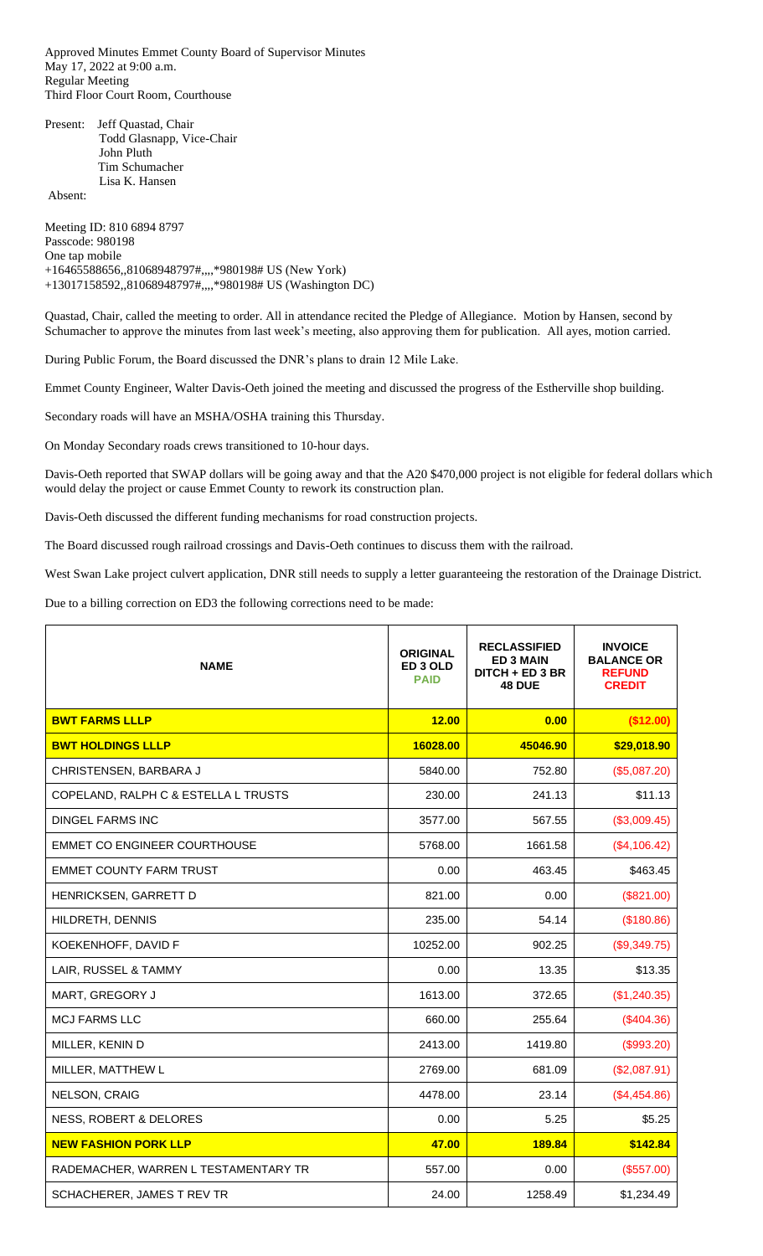Approved Minutes Emmet County Board of Supervisor Minutes May 17, 2022 at 9:00 a.m. Regular Meeting Third Floor Court Room, Courthouse

Present: Jeff Quastad, Chair Todd Glasnapp, Vice-Chair John Pluth Tim Schumacher Lisa K. Hansen

Absent:

Meeting ID: 810 6894 8797 Passcode: 980198 One tap mobile +16465588656,,81068948797#,,,,\*980198# US (New York) +13017158592,,81068948797#,,,,\*980198# US (Washington DC)

Quastad, Chair, called the meeting to order. All in attendance recited the Pledge of Allegiance. Motion by Hansen, second by Schumacher to approve the minutes from last week's meeting, also approving them for publication. All ayes, motion carried.

During Public Forum, the Board discussed the DNR's plans to drain 12 Mile Lake.

Emmet County Engineer, Walter Davis-Oeth joined the meeting and discussed the progress of the Estherville shop building.

Secondary roads will have an MSHA/OSHA training this Thursday.

On Monday Secondary roads crews transitioned to 10-hour days.

Davis-Oeth reported that SWAP dollars will be going away and that the A20 \$470,000 project is not eligible for federal dollars which would delay the project or cause Emmet County to rework its construction plan.

Davis-Oeth discussed the different funding mechanisms for road construction projects.

The Board discussed rough railroad crossings and Davis-Oeth continues to discuss them with the railroad.

West Swan Lake project culvert application, DNR still needs to supply a letter guaranteeing the restoration of the Drainage District.

Due to a billing correction on ED3 the following corrections need to be made:

| <b>NAME</b>                          | <b>ORIGINAL</b><br>ED 3 OLD<br><b>PAID</b> | <b>RECLASSIFIED</b><br><b>ED 3 MAIN</b><br>DITCH + ED 3 BR<br><b>48 DUE</b> | <b>INVOICE</b><br><b>BALANCE OR</b><br><b>REFUND</b><br><b>CREDIT</b> |
|--------------------------------------|--------------------------------------------|-----------------------------------------------------------------------------|-----------------------------------------------------------------------|
| <b>BWT FARMS LLLP</b>                | 12.00                                      | 0.00                                                                        | (\$12.00)                                                             |
| <b>BWT HOLDINGS LLLP</b>             | 16028.00                                   | 45046.90                                                                    | \$29,018.90                                                           |
| CHRISTENSEN, BARBARA J               | 5840.00                                    | 752.80                                                                      | (\$5,087.20)                                                          |
| COPELAND, RALPH C & ESTELLA L TRUSTS | 230.00                                     | 241.13                                                                      | \$11.13                                                               |
| <b>DINGEL FARMS INC</b>              | 3577.00                                    | 567.55                                                                      | (\$3,009.45)                                                          |
| <b>EMMET CO ENGINEER COURTHOUSE</b>  | 5768.00                                    | 1661.58                                                                     | (\$4,106.42)                                                          |
| <b>EMMET COUNTY FARM TRUST</b>       | 0.00                                       | 463.45                                                                      | \$463.45                                                              |
| HENRICKSEN, GARRETT D                | 821.00                                     | 0.00                                                                        | (\$821.00)                                                            |
| HILDRETH, DENNIS                     | 235.00                                     | 54.14                                                                       | (\$180.86)                                                            |
| KOEKENHOFF, DAVID F                  | 10252.00                                   | 902.25                                                                      | (\$9,349.75)                                                          |
| LAIR, RUSSEL & TAMMY                 | 0.00                                       | 13.35                                                                       | \$13.35                                                               |
| MART, GREGORY J                      | 1613.00                                    | 372.65                                                                      | (\$1,240.35)                                                          |
| <b>MCJ FARMS LLC</b>                 | 660.00                                     | 255.64                                                                      | (\$404.36)                                                            |
| MILLER, KENIN D                      | 2413.00                                    | 1419.80                                                                     | (\$993.20)                                                            |
| MILLER, MATTHEW L                    | 2769.00                                    | 681.09                                                                      | (\$2,087.91)                                                          |
| NELSON, CRAIG                        | 4478.00                                    | 23.14                                                                       | (\$4,454.86)                                                          |
| NESS, ROBERT & DELORES               | 0.00                                       | 5.25                                                                        | \$5.25                                                                |
| <b>NEW FASHION PORK LLP</b>          | 47.00                                      | 189.84                                                                      | \$142.84                                                              |
| RADEMACHER, WARREN L TESTAMENTARY TR | 557.00                                     | 0.00                                                                        | (\$557.00)                                                            |
| SCHACHERER, JAMES T REV TR           | 24.00                                      | 1258.49                                                                     | \$1,234.49                                                            |